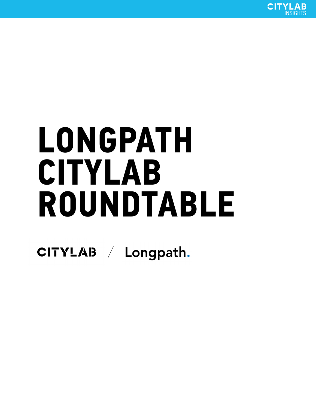

# **LONGPATH CITYLAB ROUNDTABLE**

CITYLAB / Longpath.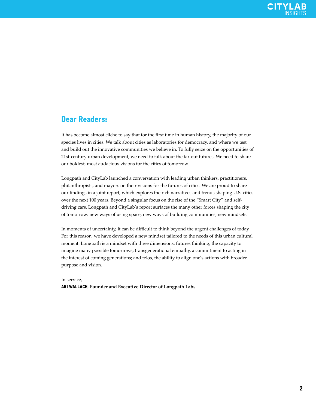# **Dear Readers:**

It has become almost cliche to say that for the first time in human history, the majority of our species lives in cities. We talk about cities as laboratories for democracy, and where we test and build out the innovative communities we believe in. To fully seize on the opportunities of 21st-century urban development, we need to talk about the far-out futures. We need to share our boldest, most audacious visions for the cities of tomorrow.

Longpath and CityLab launched a conversation with leading urban thinkers, practitioners, philanthropists, and mayors on their visions for the futures of cities. We are proud to share our findings in a joint report, which explores the rich narratives and trends shaping U.S. cities over the next 100 years. Beyond a singular focus on the rise of the "Smart City" and selfdriving cars, Longpath and CityLab's report surfaces the many other forces shaping the city of tomorrow: new ways of using space, new ways of building communities, new mindsets.

In moments of uncertainty, it can be difficult to think beyond the urgent challenges of today For this reason, we have developed a new mindset tailored to the needs of this urban cultural moment. Longpath is a mindset with three dimensions: futures thinking, the capacity to imagine many possible tomorrows; transgenerational empathy, a commitment to acting in the interest of coming generations; and telos, the ability to align one's actions with broader purpose and vision.

In service,

**ARI WALLACH**, **Founder and Executive Director of Longpath Labs**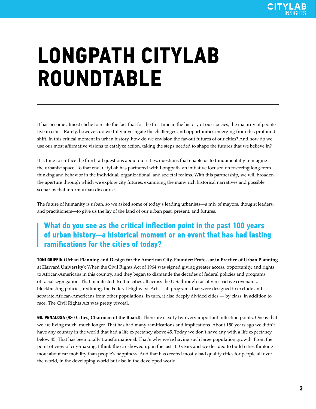# **LONGPATH CITYLAB ROUNDTABLE**

It has become almost cliché to recite the fact that for the first time in the history of our species, the majority of people live in cities. Rarely, however, do we fully investigate the challenges and opportunities emerging from this profound shift. In this critical moment in urban history, how do we envision the far-out futures of our cities? And how do we use our most affirmative visions to catalyze action, taking the steps needed to shape the futures that we believe in?

It is time to surface the third rail questions about our cities, questions that enable us to fundamentally reimagine the urbanist space. To that end, CityLab has partnered with Longpath, an initiative focused on fostering long-term thinking and behavior in the individual, organizational, and societal realms. With this partnership, we will broaden the aperture through which we explore city futures, examining the many rich historical narratives and possible scenarios that inform urban discourse.

The future of humanity is urban, so we asked some of today's leading urbanists—a mix of mayors, thought leaders, and practitioners—to give us the lay of the land of our urban past, present, and futures.

# **What do you see as the critical inflection point in the past 100 years of urban history—a historical moment or an event that has had lasting ramifi cations for the cities of today?**

**TONI GRIFFIN (Urban Planning and Design for the American City, Founder; Professor in Practice of Urban Planning at Harvard University):** When the Civil Rights Act of 1964 was signed giving greater access, opportunity, and rights to African-Americans in this country, and they began to dismantle the decades of federal policies and programs of racial segregation. That manifested itself in cities all across the U.S. through racially restrictive covenants, blockbusting policies, redlining, the Federal Highways Act — all programs that were designed to exclude and separate African-Americans from other populations. In turn, it also deeply divided cities — by class, in addition to race. The Civil Rights Act was pretty pivotal.

**GIL PENALOSA (880 Cities, Chairman of the Board):** There are clearly two very important inflection points. One is that we are living much, much longer. That has had many ramifications and implications. About 150 years ago we didn't have any country in the world that had a life expectancy above 45. Today we don't have any with a life expectancy below 45. That has been totally transformational. That's why we're having such large population growth. From the point of view of city-making, I think the car showed up in the last 100 years and we decided to build cities thinking more about car mobility than people's happiness. And that has created mostly bad quality cities for people all over the world, in the developing world but also in the developed world.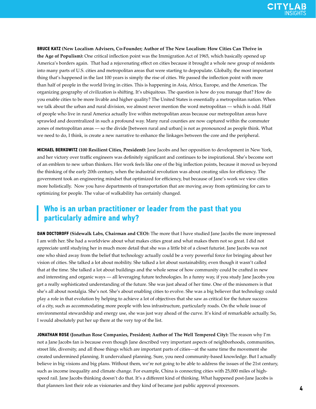**BRUCE KATZ (New Localism Advisers, Co-Founder; Author of The New Localism: How Cities Can Thrive in the Age of Populism):** One critical inflection point was the Immigration Act of 1965, which basically opened up America's borders again. That had a rejuvenating effect on cities because it brought a whole new group of residents into many parts of U.S. cities and metropolitan areas that were starting to depopulate. Globally, the most important thing that's happened in the last 100 years is simply the rise of cities. We passed the inflection point with more than half of people in the world living in cities. This is happening in Asia, Africa, Europe, and the Americas. The organizing geography of civilization is shifting. It's ubiquitous. The question is how do you manage that? How do you enable cities to be more livable and higher quality? The United States is essentially a metropolitan nation. When we talk about the urban and rural division, we almost never mention the word metropolitan — which is odd. Half of people who live in rural America actually live within metropolitan areas because our metropolitan areas have sprawled and decentralized in such a profound way. Many rural counties are now captured within the commuter zones of metropolitan areas — so the divide [between rural and urban] is not as pronounced as people think. What we need to do, I think, is create a new narrative to enhance the linkages between the core and the peripheral.

**MICHAEL BERKOWITZ (100 Resilient Cities, President):** Jane Jacobs and her opposition to development in New York, and her victory over traffic engineers was definitely significant and continues to be inspirational. She's become sort of an emblem to new urban thinkers. Her work feels like one of the big inflection points, because it moved us beyond the thinking of the early 20th century, when the industrial revolution was about creating silos for efficiency. The government took an engineering mindset that optimized for efficiency, but because of Jane's work we view cities more holistically. Now you have departments of transportation that are moving away from optimizing for cars to optimizing for people. The value of walkability has certainly changed.

# **Who is an urban practitioner or leader from the past that you particularly admire and why?**

**DAN DOCTOROFF (Sidewalk Labs, Chairman and CEO):** The more that I have studied Jane Jacobs the more impressed I am with her. She had a worldview about what makes cities great and what makes them not so great. I did not appreciate until studying her in much more detail that she was a little bit of a closet futurist. Jane Jacobs was not one who shied away from the belief that technology actually could be a very powerful force for bringing about her vision of cities. She talked a lot about mobility. She talked a lot about sustainability, even though it wasn't called that at the time. She talked a lot about buildings and the whole sense of how community could be crafted in new and interesting and organic ways — all leveraging future technologies. In a funny way, if you study Jane Jacobs you get a really sophisticated understanding of the future. She was just ahead of her time. One of the misnomers is that she's all about nostalgia. She's not. She's about enabling cities to evolve. She was a big believer that technology could play a role in that evolution by helping to achieve a lot of objectives that she saw as critical for the future success of a city, such as accommodating more people with less infrastructure, particularly roads. On the whole issue of environmental stewardship and energy use, she was just way ahead of the curve. It's kind of remarkable actually. So, I would absolutely put her up there at the very top of the list.

**JONATHAN ROSE (Jonathan Rose Companies, President; Author of The Well Tempered City):** The reason why I'm not a Jane Jacobs fan is because even though Jane described very important aspects of neighborhoods, communities, street life, diversity, and all those things which are important parts of cities—at the same time the movement she created undermined planning. It undervalued planning. Sure, you need community-based knowledge. But I actually believe in big visions and big plans. Without them, we're not going to be able to address the issues of the 21st century, such as income inequality and climate change. For example, China is connecting cities with 25,000 miles of highspeed rail. Jane Jacobs thinking doesn't do that. It's a different kind of thinking. What happened post-Jane Jacobs is that planners lost their role as visionaries and they kind of became just public approval processors.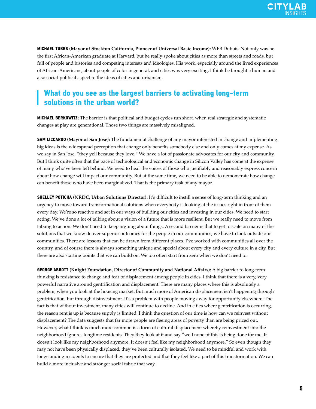

**MICHAEL TUBBS (Mayor of Stockton California, Pioneer of Universal Basic Income):** WEB Dubois. Not only was he the first African-American graduate at Harvard, but he really spoke about cities as more than streets and roads, but full of people and histories and competing interests and ideologies. His work, especially around the lived experiences of African-Americans, about people of color in general, and cities was very exciting. I think he brought a human and also social-political aspect to the ideas of cities and urbanism.

#### **What do you see as the largest barriers to activating long-term solutions in the urban world?**

**MICHAEL BERKOWITZ:** The barrier is that political and budget cycles run short, when real strategic and systematic changes at play are generational. Those two things are massively misaligned.

**SAM LICCARDO (Mayor of San Jose):** The fundamental challenge of any mayor interested in change and implementing big ideas is the widespread perception that change only benefits somebody else and only comes at my expense. As we say in San Jose, "they yell because they love." We have a lot of passionate advocates for our city and community. But I think quite often that the pace of technological and economic change in Silicon Valley has come at the expense of many who've been left behind. We need to hear the voices of those who justifi ably and reasonably express concern about how change will impact our community. But at the same time, we need to be able to demonstrate how change can benefit those who have been marginalized. That is the primary task of any mayor.

**SHELLEY POTICHA** (NRDC, Urban Solutions Director): It's difficult to instill a sense of long-term thinking and an urgency to move toward transformational solutions when everybody is looking at the issues right in front of them every day. We're so reactive and set in our ways of building our cities and investing in our cities. We need to start acting. We've done a lot of talking about a vision of a future that is more resilient. But we really need to move from talking to action. We don't need to keep arguing about things. A second barrier is that to get to scale on many of the solutions that we know deliver superior outcomes for the people in our communities, we have to look outside our communities. There are lessons that can be drawn from different places. I've worked with communities all over the country, and of course there is always something unique and special about every city and every culture in a city. But there are also starting points that we can build on. We too often start from zero when we don't need to.

**GEORGE ABBOTT** (Knight Foundation, Director of Community and National Affairs): A big barrier to long-term thinking is resistance to change and fear of displacement among people in cities. I think that there is a very, very powerful narrative around gentrification and displacement. There are many places where this is absolutely a problem, when you look at the housing market. But much more of American displacement isn't happening through gentrification, but through disinvestment. It's a problem with people moving away for opportunity elsewhere. The fact is that without investment, many cities will continue to decline. And in cities where gentrification is occurring, the reason rent is up is because supply is limited. I think the question of our time is how can we reinvest without displacement? The data suggests that far more people are fleeing areas of poverty than are being priced out. However, what I think is much more common is a form of cultural displacement whereby reinvestment into the neighborhood ignores longtime residents. They they look at it and say "well none of this is being done for me. It doesn't look like my neighborhood anymore. It doesn't feel like my neighborhood anymore." So even though they may not have been physically displaced, they've been culturally isolated. We need to be mindful and work with longstanding residents to ensure that they are protected and that they feel like a part of this transformation. We can build a more inclusive and stronger social fabric that way.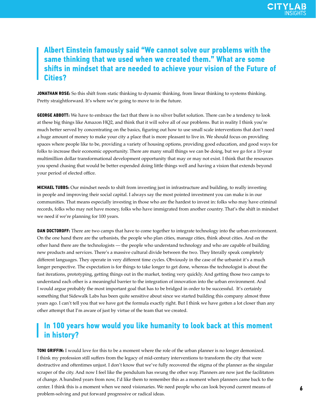# **Albert Einstein famously said "We cannot solve our problems with the same thinking that we used when we created them." What are some**  shifts in mindset that are needed to achieve your vision of the Future of **Cities?**

**JONATHAN ROSE:** So this shift from static thinking to dynamic thinking, from linear thinking to systems thinking. Pretty straightforward. It's where we're going to move to in the future.

**GEORGE ABBOTT:** We have to embrace the fact that there is no silver bullet solution. There can be a tendency to look at these big things like Amazon HQ2, and think that it will solve all of our problems. But in reality I think you're much better served by concentrating on the basics, figuring out how to use small scale interventions that don't need a huge amount of money to make your city a place that is more pleasant to live in. We should focus on providing spaces where people like to be, providing a variety of housing options, providing good education, and good ways for folks to increase their economic opportunity. There are many small things we can be doing, but we go for a 10-year multimillion dollar transformational development opportunity that may or may not exist. I think that the resources you spend chasing that would be better expended doing little things well and having a vision that extends beyond your period of elected office.

**MICHAEL TUBBS:** Our mindset needs to shift from investing just in infrastructure and building, to really investing in people and improving their social capital. I always say the most pointed investment you can make is in our communities. That means especially investing in those who are the hardest to invest in: folks who may have criminal records, folks who may not have money, folks who have immigrated from another country. That's the shift in mindset we need if we're planning for 100 years.

**DAN DOCTOROFF:** There are two camps that have to come together to integrate technology into the urban environment. On the one hand there are the urbanists, the people who plan cities, manage cities, think about cities. And on the other hand there are the technologists — the people who understand technology and who are capable of building new products and services. There's a massive cultural divide between the two. They literally speak completely different languages. They operate in very different time cycles. Obviously in the case of the urbanist it's a much longer perspective. The expectation is for things to take longer to get done, whereas the technologist is about the fast iterations, prototyping, getting things out in the market, testing very quickly. And getting those two camps to understand each other is a meaningful barrier to the integration of innovation into the urban environment. And I would argue probably the most important goal that has to be bridged in order to be successful. It's certainly something that Sidewalk Labs has been quite sensitive about since we started building this company almost three years ago. I can't tell you that we have got the formula exactly right. But I think we have gotten a lot closer than any other attempt that I'm aware of just by virtue of the team that we created.

# **In 100 years how would you like humanity to look back at this moment in history?**

**TONI GRIFFIN:** I would love for this to be a moment where the role of the urban planner is no longer demonized. I think my profession still suffers from the legacy of mid-century interventions to transform the city that were destructive and oftentimes unjust. I don't know that we've fully recovered the stigma of the planner as the singular scraper of the city. And now I feel like the pendulum has swung the other way. Planners are now just the facilitators of change. A hundred years from now, I'd like them to remember this as a moment when planners came back to the center. I think this is a moment when we need visionaries. We need people who can look beyond current means of problem-solving and put forward progressive or radical ideas.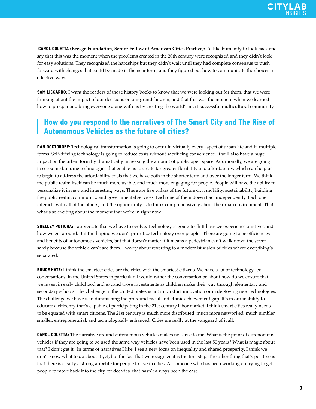**CAROL COLETTA (Kresge Foundation, Senior Fellow of American Cities Practice):** I'd like humanity to look back and say that this was the moment when the problems created in the 20th century were recognized and they didn't look for easy solutions. They recognized the hardships but they didn't wait until they had complete consensus to push forward with changes that could be made in the near term, and they figured out how to communicate the choices in effective ways.

**SAM LICCARDO:** I want the readers of those history books to know that we were looking out for them, that we were thinking about the impact of our decisions on our grandchildren, and that this was the moment when we learned how to prosper and bring everyone along with us by creating the world's most successful multicultural community.

#### **How do you respond to the narratives of The Smart City and The Rise of Autonomous Vehicles as the future of cities?**

**DAN DOCTOROFF:** Technological transformation is going to occur in virtually every aspect of urban life and in multiple forms. Self-driving technology is going to reduce costs without sacrificing convenience. It will also have a huge impact on the urban form by dramatically increasing the amount of public open space. Additionally, we are going to see some building technologies that enable us to create far greater flexibility and affordability, which can help us to begin to address the affordability crisis that we have both in the shorter term and over the longer term. We think the public realm itself can be much more usable, and much more engaging for people. People will have the ability to personalize it in new and interesting ways. There are five pillars of the future city: mobility, sustainability, building the public realm, community, and governmental services. Each one of them doesn't act independently. Each one interacts with all of the others, and the opportunity is to think comprehensively about the urban environment. That's what's so exciting about the moment that we're in right now.

**SHELLEY POTICHA:** I appreciate that we have to evolve. Technology is going to shift how we experience our lives and how we get around. But I'm hoping we don't prioritize technology over people. There are going to be efficiencies and benefits of autonomous vehicles, but that doesn't matter if it means a pedestrian can't walk down the street safely because the vehicle can't see them. I worry about reverting to a modernist vision of cities where everything's separated.

**BRUCE KATZ:** I think the smartest cities are the cities with the smartest citizens. We have a lot of technology-led conversations, in the United States in particular. I would rather the conversation be about how do we ensure that we invest in early childhood and expand those investments as children make their way through elementary and secondary schools. The challenge in the United States is not in product innovation or in deploying new technologies. The challenge we have is in diminishing the profound racial and ethnic achievement gap. It's in our inability to educate a citizenry that's capable of participating in the 21st century labor market. I think smart cities really needs to be equated with smart citizens. The 21st century is much more distributed, much more networked, much nimbler, smaller, entrepreneurial, and technologically enhanced. Cities are really at the vanguard of it all.

**CAROL COLETTA:** The narrative around autonomous vehicles makes no sense to me. What is the point of autonomous vehicles if they are going to be used the same way vehicles have been used in the last 50 years? What is magic about that? I don't get it. In terms of narratives I like, I see a new focus on inequality and shared prosperity. I think we don't know what to do about it yet, but the fact that we recognize it is the first step. The other thing that's positive is that there is clearly a strong appetite for people to live in cities. As someone who has been working on trying to get people to move back into the city for decades, that hasn't always been the case.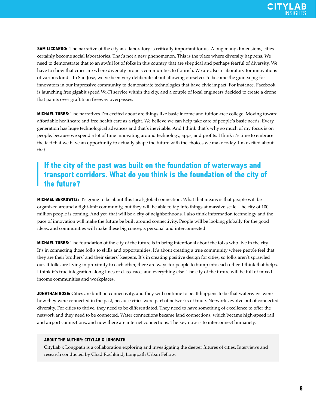**SAM LICCARDO:** The narrative of the city as a laboratory is critically important for us. Along many dimensions, cities certainly become social laboratories. That's not a new phenomenon. This is the place where diversity happens. We need to demonstrate that to an awful lot of folks in this country that are skeptical and perhaps fearful of diversity. We have to show that cities are where diversity propels communities to flourish. We are also a laboratory for innovations of various kinds. In San Jose, we've been very deliberate about allowing ourselves to become the guinea pig for innovators in our impressive community to demonstrate technologies that have civic impact. For instance, Facebook is launching free gigabit speed Wi-Fi service within the city, and a couple of local engineers decided to create a drone that paints over graffiti on freeway overpasses.

**MICHAEL TUBBS:** The narratives I'm excited about are things like basic income and tuition-free college. Moving toward affordable healthcare and free health care as a right. We believe we can help take care of people's basic needs. Every generation has huge technological advances and that's inevitable. And I think that's why so much of my focus is on people, because we spend a lot of time innovating around technology, apps, and profits. I think it's time to embrace the fact that we have an opportunity to actually shape the future with the choices we make today. I'm excited about that.

# **If the city of the past was built on the foundation of waterways and transport corridors. What do you think is the foundation of the city of the future?**

**MICHAEL BERKOWITZ:** It's going to be about this local-global connection. What that means is that people will be organized around a tight-knit community, but they will be able to tap into things at massive scale. The city of 100 million people is coming. And yet, that will be a city of neighborhoods. I also think information technology and the pace of innovation will make the future be built around connectivity. People will be looking globally for the good ideas, and communities will make these big concepts personal and interconnected.

**MICHAEL TUBBS:** The foundation of the city of the future is in being intentional about the folks who live in the city. It's in connecting those folks to skills and opportunities. It's about creating a true community where people feel that they are their brothers' and their sisters' keepers. It's in creating positive design for cities, so folks aren't sprawled out. If folks are living in proximity to each other, there are ways for people to bump into each other. I think that helps. I think it's true integration along lines of class, race, and everything else. The city of the future will be full of mixed income communities and workplaces.

**JONATHAN ROSE:** Cities are built on connectivity, and they will continue to be. It happens to be that waterways were how they were connected in the past, because cities were part of networks of trade. Networks evolve out of connected diversity. For cities to thrive, they need to be differentiated. They need to have something of excellence to offer the network and they need to be connected. Water connections became land connections, which became high-speed rail and airport connections, and now there are internet connections. The key now is to interconnect humanely.

#### **ABOUT THE AUTHOR: CITYLAB X LONGPATH**

CityLab x Longpath is a collaboration exploring and investigating the deeper futures of cities. Interviews and research conducted by Chad Rochkind, Longpath Urban Fellow.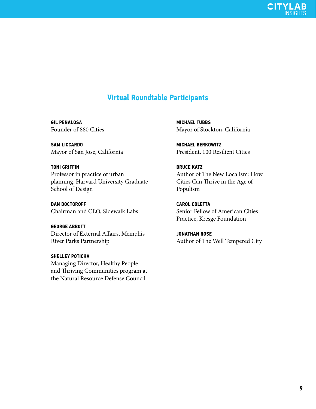

# **Virtual Roundtable Participants**

**GIL PENALOSA** Founder of 880 Cities

**SAM LICCARDO** Mayor of San Jose, California

#### **TONI GRIFFIN**

Professor in practice of urban planning, Harvard University Graduate School of Design

**DAN DOCTOROFF** Chairman and CEO, Sidewalk Labs

#### **GEORGE ABBOTT**

Director of External Affairs, Memphis River Parks Partnership

#### **SHELLEY POTICHA**

Managing Director, Healthy People and Thriving Communities program at the Natural Resource Defense Council

**MICHAEL TUBBS** Mayor of Stockton, California

**MICHAEL BERKOWITZ** President, 100 Resilient Cities

**BRUCE KATZ** Author of The New Localism: How Cities Can Thrive in the Age of Populism

**CAROL COLETTA** Senior Fellow of American Cities Practice, Kresge Foundation

**JONATHAN ROSE** Author of The Well Tempered City